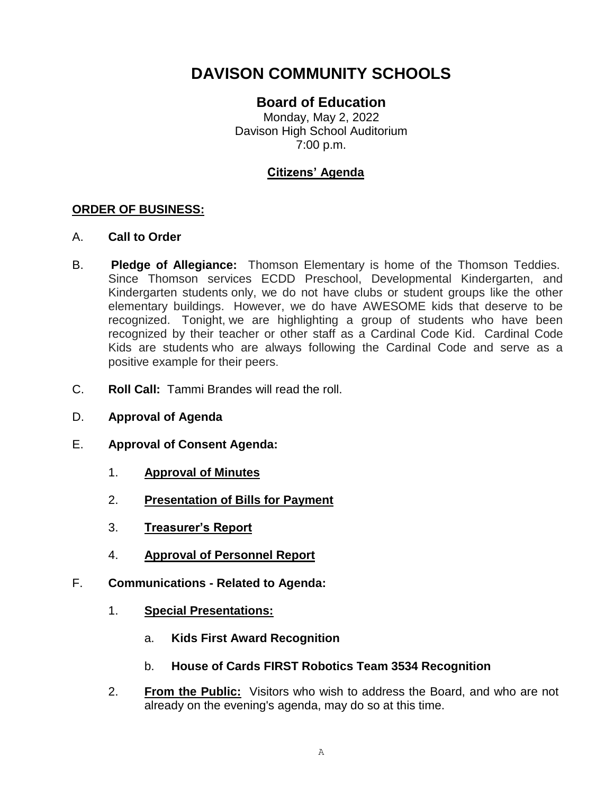# **DAVISON COMMUNITY SCHOOLS**

## **Board of Education**

Monday, May 2, 2022 Davison High School Auditorium 7:00 p.m.

## **Citizens' Agenda**

#### **ORDER OF BUSINESS:**

#### A. **Call to Order**

- B. **Pledge of Allegiance:** Thomson Elementary is home of the Thomson Teddies. Since Thomson services ECDD Preschool, Developmental Kindergarten, and Kindergarten students only, we do not have clubs or student groups like the other elementary buildings. However, we do have AWESOME kids that deserve to be recognized. Tonight, we are highlighting a group of students who have been recognized by their teacher or other staff as a Cardinal Code Kid. Cardinal Code Kids are students who are always following the Cardinal Code and serve as a positive example for their peers.
- C. **Roll Call:** Tammi Brandes will read the roll.
- D. **Approval of Agenda**
- E. **Approval of Consent Agenda:**
	- 1. **Approval of Minutes**
	- 2. **Presentation of Bills for Payment**
	- 3. **Treasurer's Report**
	- 4. **Approval of Personnel Report**
- F. **Communications - Related to Agenda:**
	- 1. **Special Presentations:** 
		- a. **Kids First Award Recognition**
		- b. **House of Cards FIRST Robotics Team 3534 Recognition**
	- 2. **From the Public:** Visitors who wish to address the Board, and who are not already on the evening's agenda, may do so at this time.